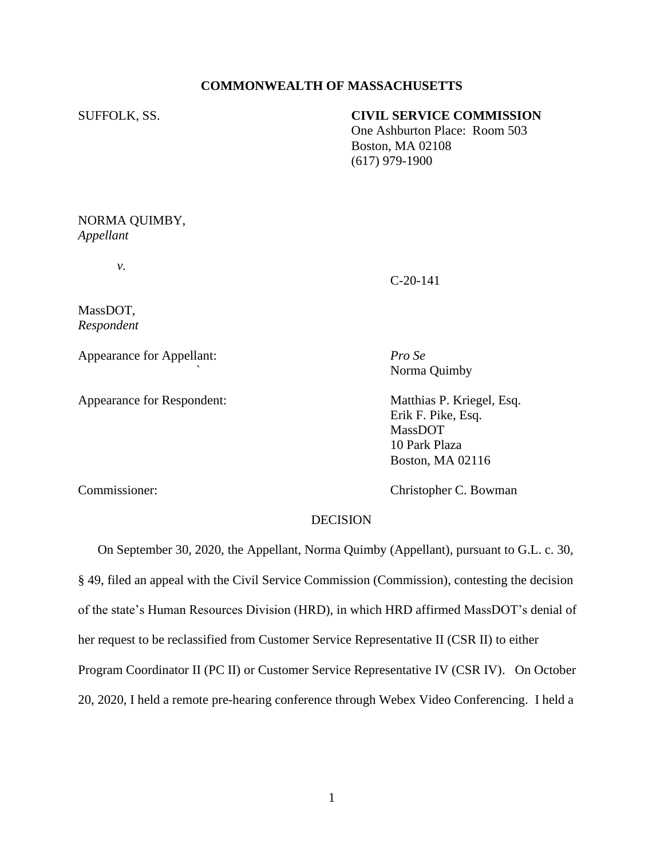# **COMMONWEALTH OF MASSACHUSETTS**

SUFFOLK, SS. **CIVIL SERVICE COMMISSION**

 One Ashburton Place: Room 503 Boston, MA 02108 (617) 979-1900

NORMA QUIMBY, *Appellant*

*v.*

C-20-141

MassDOT, *Respondent*

Appearance for Appellant: *Pro Se*

Appearance for Respondent: Matthias P. Kriegel, Esq.

*`* Norma Quimby

Erik F. Pike, Esq. MassDOT 10 Park Plaza Boston, MA 02116

Commissioner: Christopher C. Bowman

## DECISION

On September 30, 2020, the Appellant, Norma Quimby (Appellant), pursuant to G.L. c. 30, § 49, filed an appeal with the Civil Service Commission (Commission), contesting the decision of the state's Human Resources Division (HRD), in which HRD affirmed MassDOT's denial of her request to be reclassified from Customer Service Representative II (CSR II) to either Program Coordinator II (PC II) or Customer Service Representative IV (CSR IV). On October 20, 2020, I held a remote pre-hearing conference through Webex Video Conferencing. I held a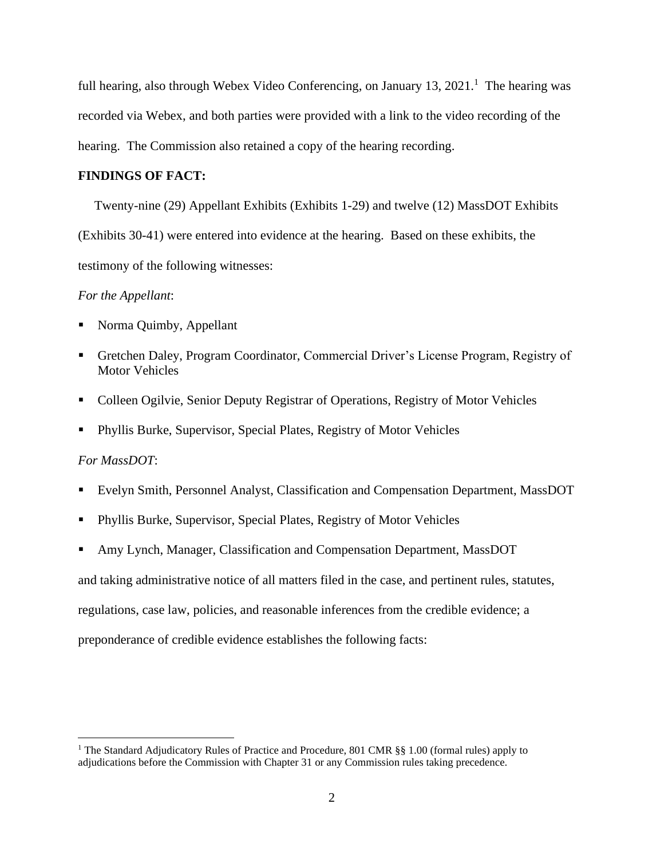full hearing, also through Webex Video Conferencing, on January 13, 2021.<sup>1</sup> The hearing was recorded via Webex, and both parties were provided with a link to the video recording of the hearing. The Commission also retained a copy of the hearing recording.

## **FINDINGS OF FACT:**

 Twenty-nine (29) Appellant Exhibits (Exhibits 1-29) and twelve (12) MassDOT Exhibits (Exhibits 30-41) were entered into evidence at the hearing. Based on these exhibits, the testimony of the following witnesses:

## *For the Appellant*:

- Norma Quimby, Appellant
- Gretchen Daley, Program Coordinator, Commercial Driver's License Program, Registry of Motor Vehicles
- Colleen Ogilvie, Senior Deputy Registrar of Operations, Registry of Motor Vehicles
- Phyllis Burke, Supervisor, Special Plates, Registry of Motor Vehicles

## *For MassDOT*:

- Evelyn Smith, Personnel Analyst, Classification and Compensation Department, MassDOT
- Phyllis Burke, Supervisor, Special Plates, Registry of Motor Vehicles
- Amy Lynch, Manager, Classification and Compensation Department, MassDOT

and taking administrative notice of all matters filed in the case, and pertinent rules, statutes,

regulations, case law, policies, and reasonable inferences from the credible evidence; a

preponderance of credible evidence establishes the following facts:

<sup>&</sup>lt;sup>1</sup> The Standard Adjudicatory Rules of Practice and Procedure, 801 CMR §§ 1.00 (formal rules) apply to adjudications before the Commission with Chapter 31 or any Commission rules taking precedence.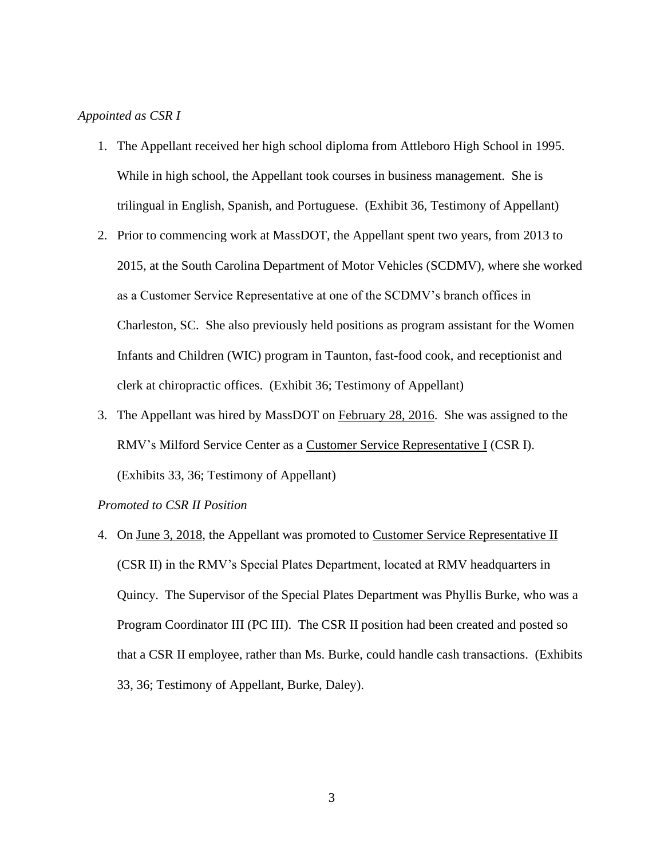## *Appointed as CSR I*

- 1. The Appellant received her high school diploma from Attleboro High School in 1995. While in high school, the Appellant took courses in business management. She is trilingual in English, Spanish, and Portuguese. (Exhibit 36, Testimony of Appellant)
- 2. Prior to commencing work at MassDOT, the Appellant spent two years, from 2013 to 2015, at the South Carolina Department of Motor Vehicles (SCDMV), where she worked as a Customer Service Representative at one of the SCDMV's branch offices in Charleston, SC. She also previously held positions as program assistant for the Women Infants and Children (WIC) program in Taunton, fast-food cook, and receptionist and clerk at chiropractic offices. (Exhibit 36; Testimony of Appellant)
- 3. The Appellant was hired by MassDOT on February 28, 2016. She was assigned to the RMV's Milford Service Center as a Customer Service Representative I (CSR I). (Exhibits 33, 36; Testimony of Appellant)

## *Promoted to CSR II Position*

4. On June 3, 2018, the Appellant was promoted to Customer Service Representative II (CSR II) in the RMV's Special Plates Department, located at RMV headquarters in Quincy. The Supervisor of the Special Plates Department was Phyllis Burke, who was a Program Coordinator III (PC III). The CSR II position had been created and posted so that a CSR II employee, rather than Ms. Burke, could handle cash transactions. (Exhibits 33, 36; Testimony of Appellant, Burke, Daley).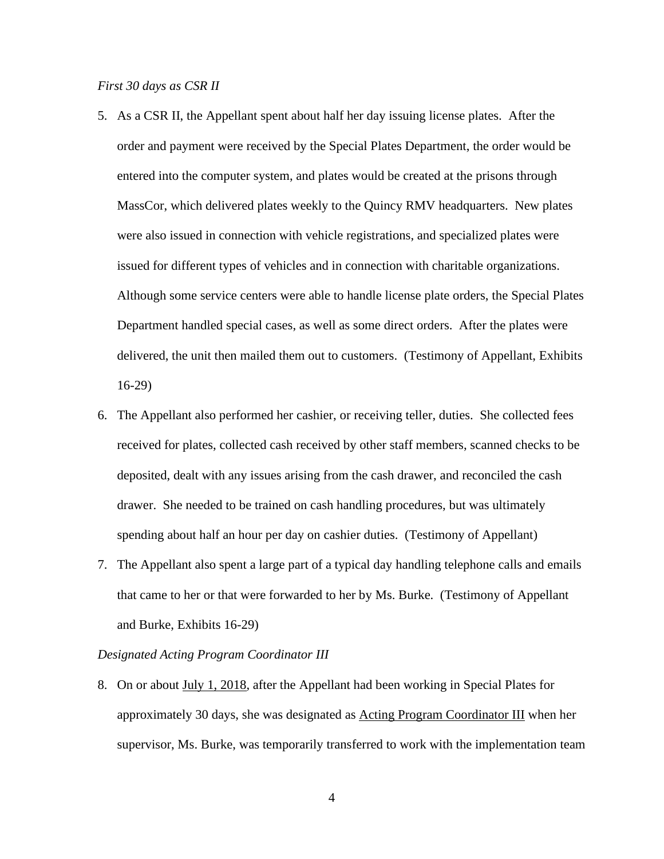#### *First 30 days as CSR II*

- 5. As a CSR II, the Appellant spent about half her day issuing license plates. After the order and payment were received by the Special Plates Department, the order would be entered into the computer system, and plates would be created at the prisons through MassCor, which delivered plates weekly to the Quincy RMV headquarters. New plates were also issued in connection with vehicle registrations, and specialized plates were issued for different types of vehicles and in connection with charitable organizations. Although some service centers were able to handle license plate orders, the Special Plates Department handled special cases, as well as some direct orders. After the plates were delivered, the unit then mailed them out to customers. (Testimony of Appellant, Exhibits 16-29)
- 6. The Appellant also performed her cashier, or receiving teller, duties. She collected fees received for plates, collected cash received by other staff members, scanned checks to be deposited, dealt with any issues arising from the cash drawer, and reconciled the cash drawer. She needed to be trained on cash handling procedures, but was ultimately spending about half an hour per day on cashier duties. (Testimony of Appellant)
- 7. The Appellant also spent a large part of a typical day handling telephone calls and emails that came to her or that were forwarded to her by Ms. Burke. (Testimony of Appellant and Burke, Exhibits 16-29)

#### *Designated Acting Program Coordinator III*

8. On or about July 1, 2018, after the Appellant had been working in Special Plates for approximately 30 days, she was designated as Acting Program Coordinator III when her supervisor, Ms. Burke, was temporarily transferred to work with the implementation team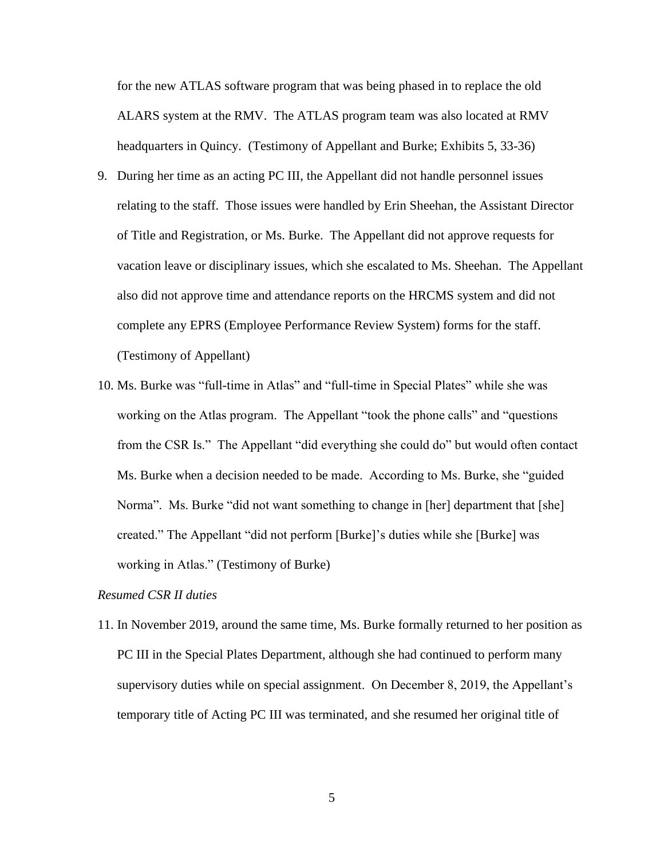for the new ATLAS software program that was being phased in to replace the old ALARS system at the RMV. The ATLAS program team was also located at RMV headquarters in Quincy. (Testimony of Appellant and Burke; Exhibits 5, 33-36)

- 9. During her time as an acting PC III, the Appellant did not handle personnel issues relating to the staff. Those issues were handled by Erin Sheehan, the Assistant Director of Title and Registration, or Ms. Burke. The Appellant did not approve requests for vacation leave or disciplinary issues, which she escalated to Ms. Sheehan. The Appellant also did not approve time and attendance reports on the HRCMS system and did not complete any EPRS (Employee Performance Review System) forms for the staff. (Testimony of Appellant)
- 10. Ms. Burke was "full-time in Atlas" and "full-time in Special Plates" while she was working on the Atlas program. The Appellant "took the phone calls" and "questions from the CSR Is." The Appellant "did everything she could do" but would often contact Ms. Burke when a decision needed to be made. According to Ms. Burke, she "guided Norma". Ms. Burke "did not want something to change in [her] department that [she] created." The Appellant "did not perform [Burke]'s duties while she [Burke] was working in Atlas." (Testimony of Burke)

#### *Resumed CSR II duties*

11. In November 2019, around the same time, Ms. Burke formally returned to her position as PC III in the Special Plates Department, although she had continued to perform many supervisory duties while on special assignment. On December 8, 2019, the Appellant's temporary title of Acting PC III was terminated, and she resumed her original title of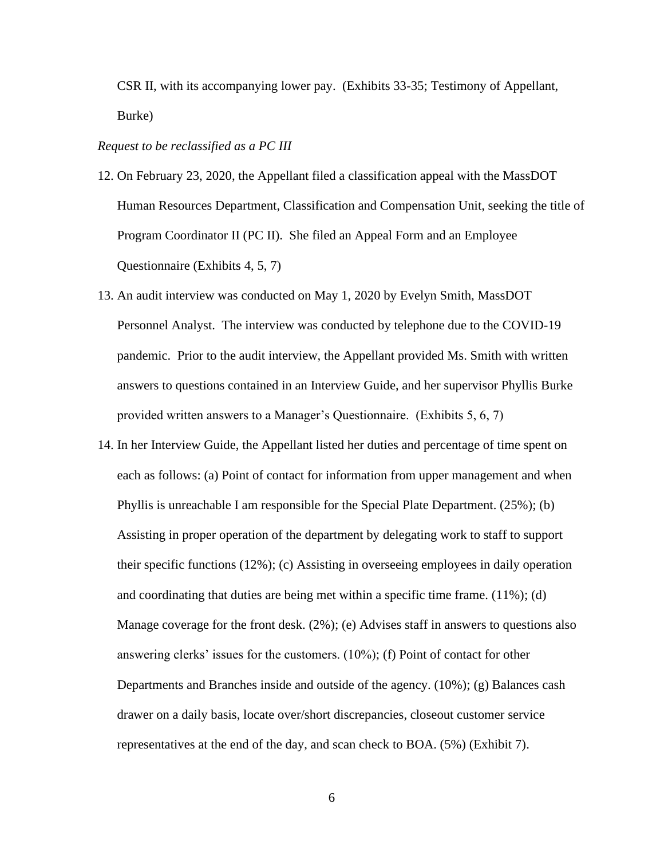CSR II, with its accompanying lower pay. (Exhibits 33-35; Testimony of Appellant, Burke)

# *Request to be reclassified as a PC III*

- 12. On February 23, 2020, the Appellant filed a classification appeal with the MassDOT Human Resources Department, Classification and Compensation Unit, seeking the title of Program Coordinator II (PC II). She filed an Appeal Form and an Employee Questionnaire (Exhibits 4, 5, 7)
- 13. An audit interview was conducted on May 1, 2020 by Evelyn Smith, MassDOT Personnel Analyst. The interview was conducted by telephone due to the COVID-19 pandemic. Prior to the audit interview, the Appellant provided Ms. Smith with written answers to questions contained in an Interview Guide, and her supervisor Phyllis Burke provided written answers to a Manager's Questionnaire. (Exhibits 5, 6, 7)
- 14. In her Interview Guide, the Appellant listed her duties and percentage of time spent on each as follows: (a) Point of contact for information from upper management and when Phyllis is unreachable I am responsible for the Special Plate Department. (25%); (b) Assisting in proper operation of the department by delegating work to staff to support their specific functions (12%); (c) Assisting in overseeing employees in daily operation and coordinating that duties are being met within a specific time frame. (11%); (d) Manage coverage for the front desk. (2%); (e) Advises staff in answers to questions also answering clerks' issues for the customers. (10%); (f) Point of contact for other Departments and Branches inside and outside of the agency. (10%); (g) Balances cash drawer on a daily basis, locate over/short discrepancies, closeout customer service representatives at the end of the day, and scan check to BOA. (5%) (Exhibit 7).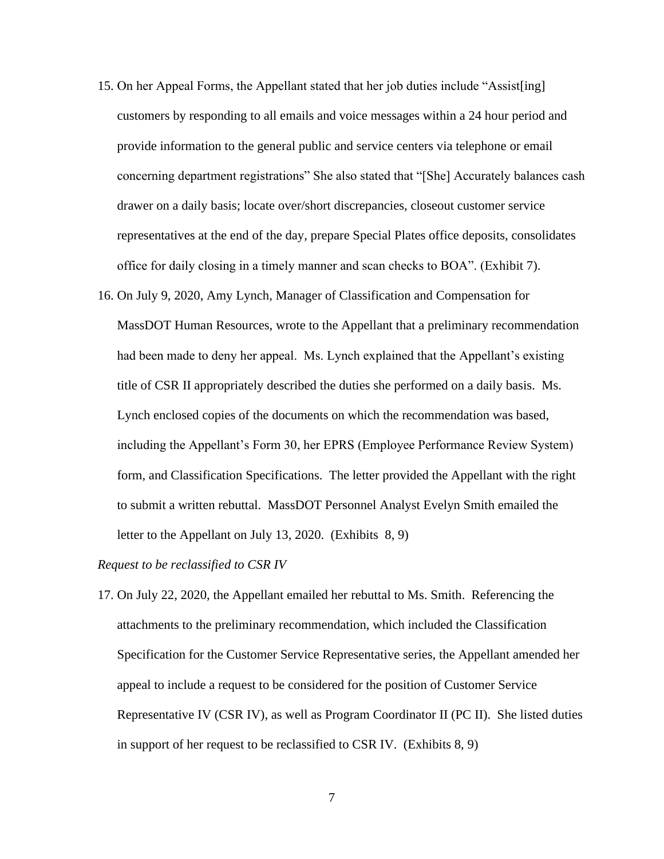- 15. On her Appeal Forms, the Appellant stated that her job duties include "Assist[ing] customers by responding to all emails and voice messages within a 24 hour period and provide information to the general public and service centers via telephone or email concerning department registrations" She also stated that "[She] Accurately balances cash drawer on a daily basis; locate over/short discrepancies, closeout customer service representatives at the end of the day, prepare Special Plates office deposits, consolidates office for daily closing in a timely manner and scan checks to BOA". (Exhibit 7).
- 16. On July 9, 2020, Amy Lynch, Manager of Classification and Compensation for MassDOT Human Resources, wrote to the Appellant that a preliminary recommendation had been made to deny her appeal. Ms. Lynch explained that the Appellant's existing title of CSR II appropriately described the duties she performed on a daily basis. Ms. Lynch enclosed copies of the documents on which the recommendation was based, including the Appellant's Form 30, her EPRS (Employee Performance Review System) form, and Classification Specifications. The letter provided the Appellant with the right to submit a written rebuttal. MassDOT Personnel Analyst Evelyn Smith emailed the letter to the Appellant on July 13, 2020. (Exhibits 8, 9)

*Request to be reclassified to CSR IV*

17. On July 22, 2020, the Appellant emailed her rebuttal to Ms. Smith. Referencing the attachments to the preliminary recommendation, which included the Classification Specification for the Customer Service Representative series, the Appellant amended her appeal to include a request to be considered for the position of Customer Service Representative IV (CSR IV), as well as Program Coordinator II (PC II). She listed duties in support of her request to be reclassified to CSR IV. (Exhibits 8, 9)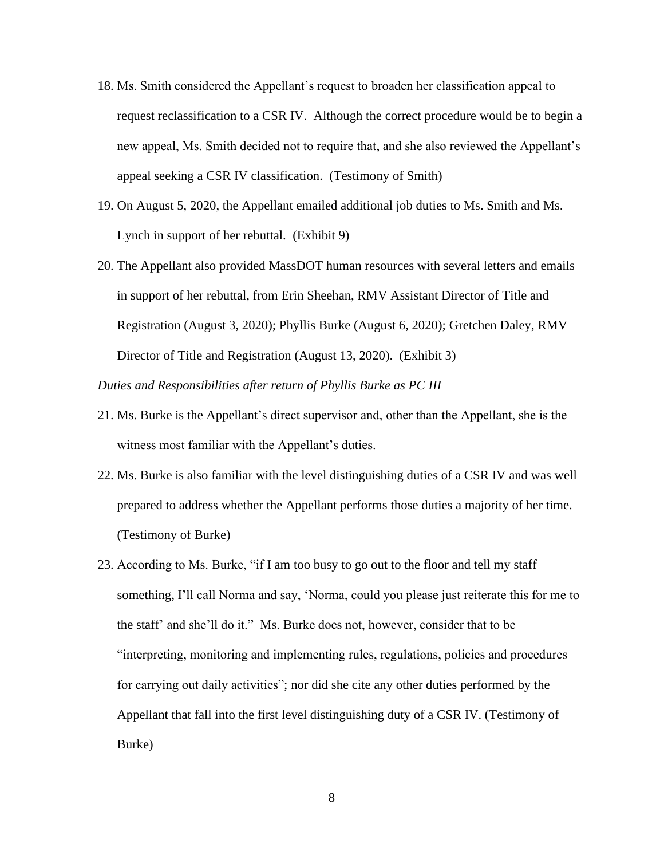- 18. Ms. Smith considered the Appellant's request to broaden her classification appeal to request reclassification to a CSR IV. Although the correct procedure would be to begin a new appeal, Ms. Smith decided not to require that, and she also reviewed the Appellant's appeal seeking a CSR IV classification. (Testimony of Smith)
- 19. On August 5, 2020, the Appellant emailed additional job duties to Ms. Smith and Ms. Lynch in support of her rebuttal. (Exhibit 9)
- 20. The Appellant also provided MassDOT human resources with several letters and emails in support of her rebuttal, from Erin Sheehan, RMV Assistant Director of Title and Registration (August 3, 2020); Phyllis Burke (August 6, 2020); Gretchen Daley, RMV Director of Title and Registration (August 13, 2020). (Exhibit 3)

*Duties and Responsibilities after return of Phyllis Burke as PC III*

- 21. Ms. Burke is the Appellant's direct supervisor and, other than the Appellant, she is the witness most familiar with the Appellant's duties.
- 22. Ms. Burke is also familiar with the level distinguishing duties of a CSR IV and was well prepared to address whether the Appellant performs those duties a majority of her time. (Testimony of Burke)
- 23. According to Ms. Burke, "if I am too busy to go out to the floor and tell my staff something, I'll call Norma and say, 'Norma, could you please just reiterate this for me to the staff' and she'll do it." Ms. Burke does not, however, consider that to be "interpreting, monitoring and implementing rules, regulations, policies and procedures for carrying out daily activities"; nor did she cite any other duties performed by the Appellant that fall into the first level distinguishing duty of a CSR IV. (Testimony of Burke)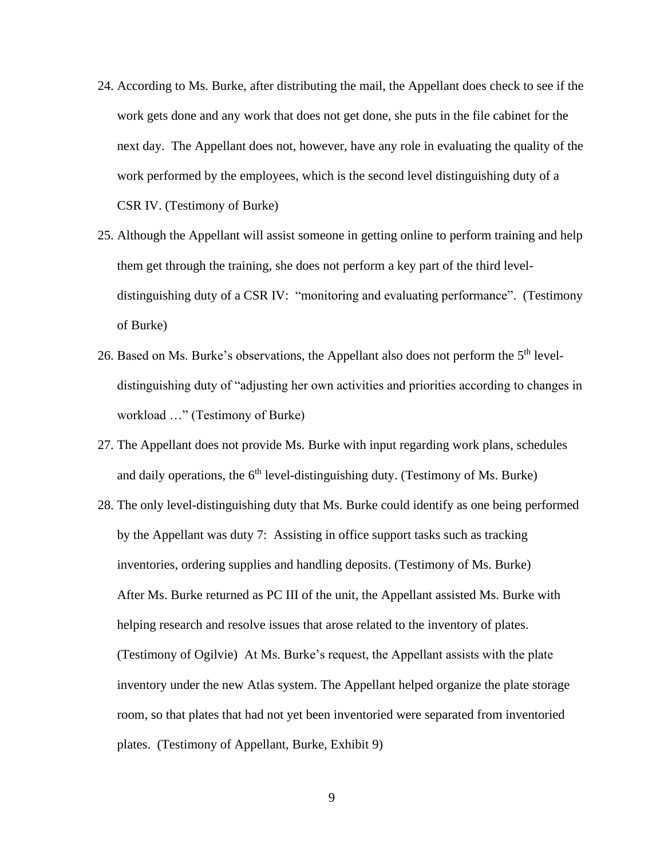- 24. According to Ms. Burke, after distributing the mail, the Appellant does check to see if the work gets done and any work that does not get done, she puts in the file cabinet for the next day. The Appellant does not, however, have any role in evaluating the quality of the work performed by the employees, which is the second level distinguishing duty of a CSR IV. (Testimony of Burke)
- 25. Although the Appellant will assist someone in getting online to perform training and help them get through the training, she does not perform a key part of the third leveldistinguishing duty of a CSR IV: "monitoring and evaluating performance". (Testimony of Burke)
- 26. Based on Ms. Burke's observations, the Appellant also does not perform the 5<sup>th</sup> leveldistinguishing duty of "adjusting her own activities and priorities according to changes in workload …" (Testimony of Burke)
- 27. The Appellant does not provide Ms. Burke with input regarding work plans, schedules and daily operations, the  $6<sup>th</sup>$  level-distinguishing duty. (Testimony of Ms. Burke)
- 28. The only level-distinguishing duty that Ms. Burke could identify as one being performed by the Appellant was duty 7: Assisting in office support tasks such as tracking inventories, ordering supplies and handling deposits. (Testimony of Ms. Burke) After Ms. Burke returned as PC III of the unit, the Appellant assisted Ms. Burke with helping research and resolve issues that arose related to the inventory of plates. (Testimony of Ogilvie) At Ms. Burke's request, the Appellant assists with the plate inventory under the new Atlas system. The Appellant helped organize the plate storage room, so that plates that had not yet been inventoried were separated from inventoried plates. (Testimony of Appellant, Burke, Exhibit 9)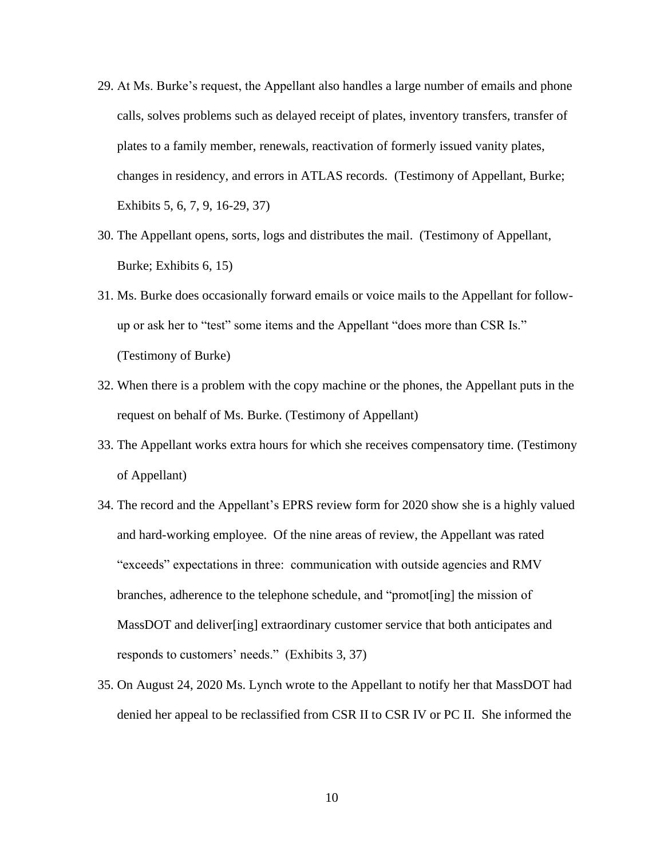- 29. At Ms. Burke's request, the Appellant also handles a large number of emails and phone calls, solves problems such as delayed receipt of plates, inventory transfers, transfer of plates to a family member, renewals, reactivation of formerly issued vanity plates, changes in residency, and errors in ATLAS records. (Testimony of Appellant, Burke; Exhibits 5, 6, 7, 9, 16-29, 37)
- 30. The Appellant opens, sorts, logs and distributes the mail. (Testimony of Appellant, Burke; Exhibits 6, 15)
- 31. Ms. Burke does occasionally forward emails or voice mails to the Appellant for followup or ask her to "test" some items and the Appellant "does more than CSR Is." (Testimony of Burke)
- 32. When there is a problem with the copy machine or the phones, the Appellant puts in the request on behalf of Ms. Burke. (Testimony of Appellant)
- 33. The Appellant works extra hours for which she receives compensatory time. (Testimony of Appellant)
- 34. The record and the Appellant's EPRS review form for 2020 show she is a highly valued and hard-working employee. Of the nine areas of review, the Appellant was rated "exceeds" expectations in three: communication with outside agencies and RMV branches, adherence to the telephone schedule, and "promot[ing] the mission of MassDOT and deliver[ing] extraordinary customer service that both anticipates and responds to customers' needs." (Exhibits 3, 37)
- 35. On August 24, 2020 Ms. Lynch wrote to the Appellant to notify her that MassDOT had denied her appeal to be reclassified from CSR II to CSR IV or PC II. She informed the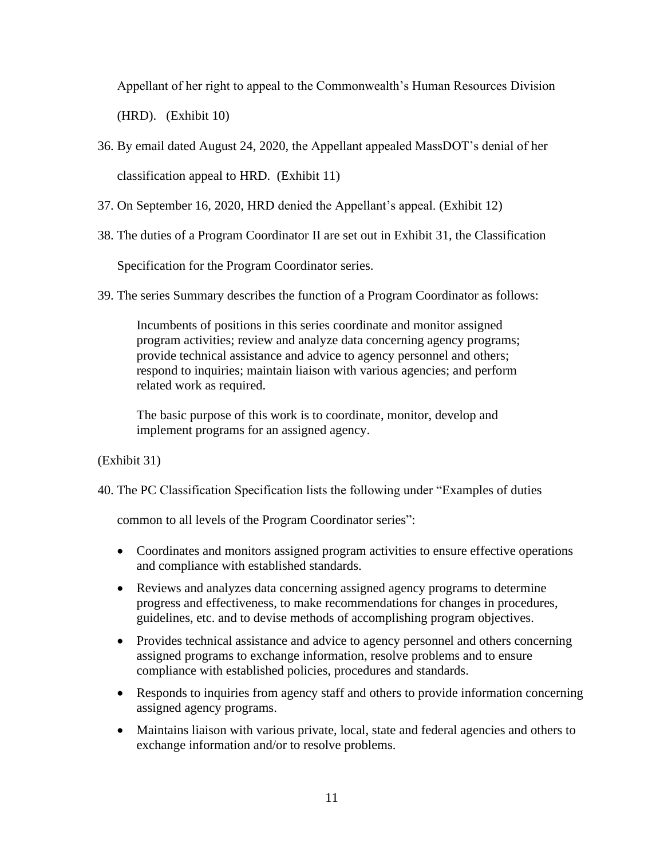Appellant of her right to appeal to the Commonwealth's Human Resources Division

(HRD). (Exhibit 10)

- 36. By email dated August 24, 2020, the Appellant appealed MassDOT's denial of her classification appeal to HRD. (Exhibit 11)
- 37. On September 16, 2020, HRD denied the Appellant's appeal. (Exhibit 12)
- 38. The duties of a Program Coordinator II are set out in Exhibit 31, the Classification

Specification for the Program Coordinator series.

39. The series Summary describes the function of a Program Coordinator as follows:

Incumbents of positions in this series coordinate and monitor assigned program activities; review and analyze data concerning agency programs; provide technical assistance and advice to agency personnel and others; respond to inquiries; maintain liaison with various agencies; and perform related work as required.

The basic purpose of this work is to coordinate, monitor, develop and implement programs for an assigned agency.

(Exhibit 31)

40. The PC Classification Specification lists the following under "Examples of duties

common to all levels of the Program Coordinator series":

- Coordinates and monitors assigned program activities to ensure effective operations and compliance with established standards.
- Reviews and analyzes data concerning assigned agency programs to determine progress and effectiveness, to make recommendations for changes in procedures, guidelines, etc. and to devise methods of accomplishing program objectives.
- Provides technical assistance and advice to agency personnel and others concerning assigned programs to exchange information, resolve problems and to ensure compliance with established policies, procedures and standards.
- Responds to inquiries from agency staff and others to provide information concerning assigned agency programs.
- Maintains liaison with various private, local, state and federal agencies and others to exchange information and/or to resolve problems.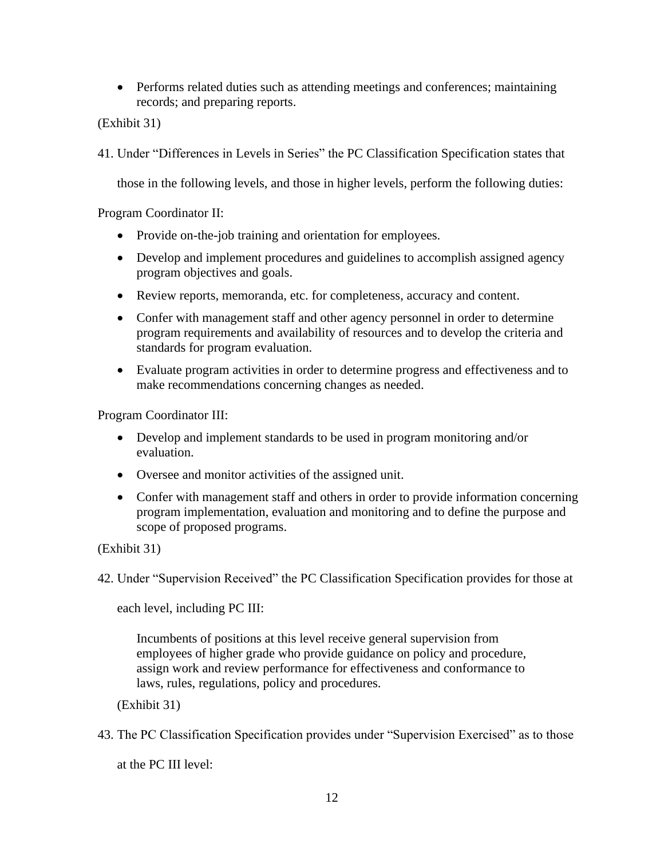• Performs related duties such as attending meetings and conferences; maintaining records; and preparing reports.

(Exhibit 31)

41. Under "Differences in Levels in Series" the PC Classification Specification states that

those in the following levels, and those in higher levels, perform the following duties:

Program Coordinator II:

- Provide on-the-job training and orientation for employees.
- Develop and implement procedures and guidelines to accomplish assigned agency program objectives and goals.
- Review reports, memoranda, etc. for completeness, accuracy and content.
- Confer with management staff and other agency personnel in order to determine program requirements and availability of resources and to develop the criteria and standards for program evaluation.
- Evaluate program activities in order to determine progress and effectiveness and to make recommendations concerning changes as needed.

Program Coordinator III:

- Develop and implement standards to be used in program monitoring and/or evaluation.
- Oversee and monitor activities of the assigned unit.
- Confer with management staff and others in order to provide information concerning program implementation, evaluation and monitoring and to define the purpose and scope of proposed programs.

(Exhibit 31)

42. Under "Supervision Received" the PC Classification Specification provides for those at

each level, including PC III:

Incumbents of positions at this level receive general supervision from employees of higher grade who provide guidance on policy and procedure, assign work and review performance for effectiveness and conformance to laws, rules, regulations, policy and procedures.

(Exhibit 31)

43. The PC Classification Specification provides under "Supervision Exercised" as to those

at the PC III level: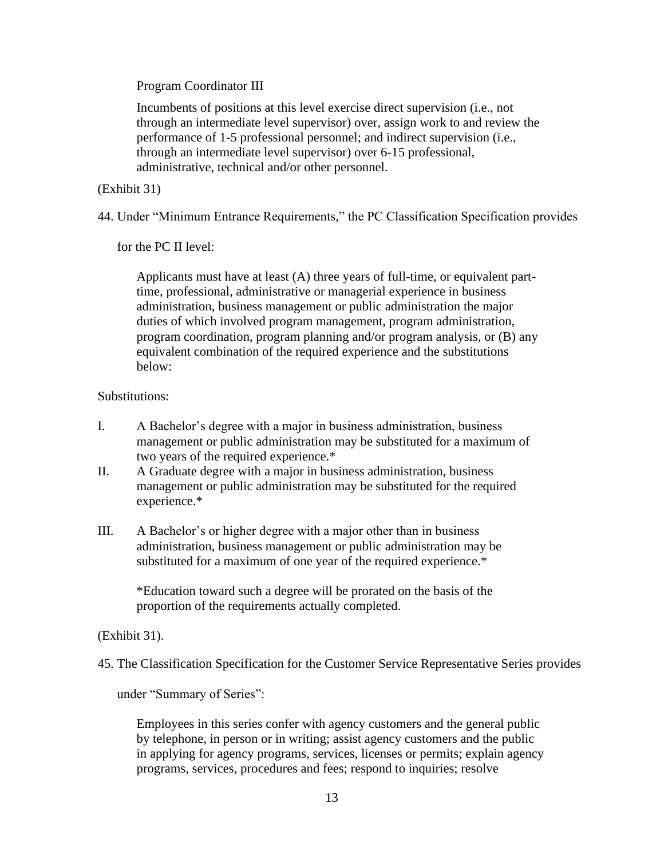Program Coordinator III

Incumbents of positions at this level exercise direct supervision (i.e., not through an intermediate level supervisor) over, assign work to and review the performance of 1-5 professional personnel; and indirect supervision (i.e., through an intermediate level supervisor) over 6-15 professional, administrative, technical and/or other personnel.

(Exhibit 31)

44. Under "Minimum Entrance Requirements," the PC Classification Specification provides

for the PC II level:

Applicants must have at least (A) three years of full-time, or equivalent parttime, professional, administrative or managerial experience in business administration, business management or public administration the major duties of which involved program management, program administration, program coordination, program planning and/or program analysis, or (B) any equivalent combination of the required experience and the substitutions below:

# Substitutions:

- I. A Bachelor's degree with a major in business administration, business management or public administration may be substituted for a maximum of two years of the required experience.\*
- II. A Graduate degree with a major in business administration, business management or public administration may be substituted for the required experience.\*
- III. A Bachelor's or higher degree with a major other than in business administration, business management or public administration may be substituted for a maximum of one year of the required experience.\*

\*Education toward such a degree will be prorated on the basis of the proportion of the requirements actually completed.

# (Exhibit 31).

45. The Classification Specification for the Customer Service Representative Series provides

under "Summary of Series":

Employees in this series confer with agency customers and the general public by telephone, in person or in writing; assist agency customers and the public in applying for agency programs, services, licenses or permits; explain agency programs, services, procedures and fees; respond to inquiries; resolve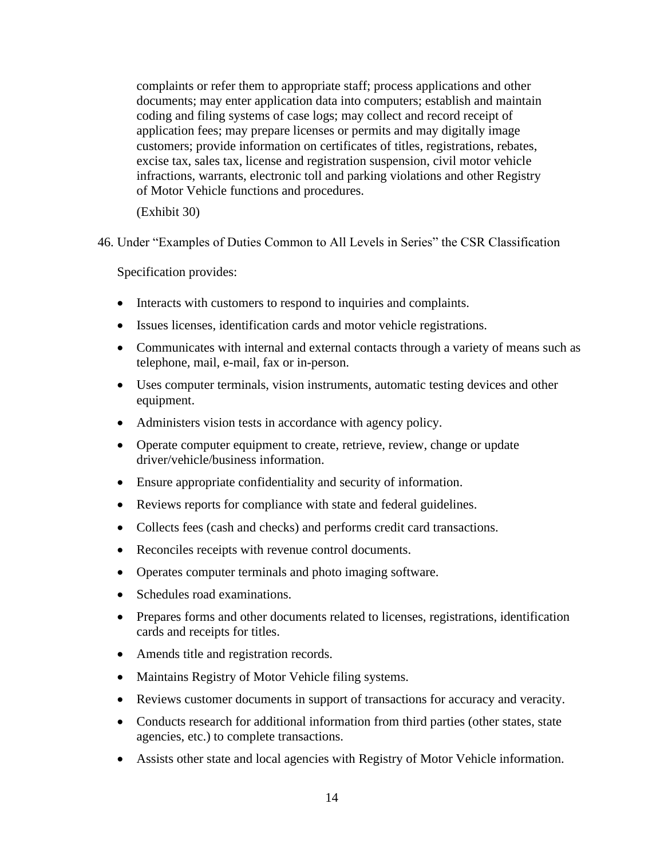complaints or refer them to appropriate staff; process applications and other documents; may enter application data into computers; establish and maintain coding and filing systems of case logs; may collect and record receipt of application fees; may prepare licenses or permits and may digitally image customers; provide information on certificates of titles, registrations, rebates, excise tax, sales tax, license and registration suspension, civil motor vehicle infractions, warrants, electronic toll and parking violations and other Registry of Motor Vehicle functions and procedures.

(Exhibit 30)

46. Under "Examples of Duties Common to All Levels in Series" the CSR Classification

Specification provides:

- Interacts with customers to respond to inquiries and complaints.
- Issues licenses, identification cards and motor vehicle registrations.
- Communicates with internal and external contacts through a variety of means such as telephone, mail, e-mail, fax or in-person.
- Uses computer terminals, vision instruments, automatic testing devices and other equipment.
- Administers vision tests in accordance with agency policy.
- Operate computer equipment to create, retrieve, review, change or update driver/vehicle/business information.
- Ensure appropriate confidentiality and security of information.
- Reviews reports for compliance with state and federal guidelines.
- Collects fees (cash and checks) and performs credit card transactions.
- Reconciles receipts with revenue control documents.
- Operates computer terminals and photo imaging software.
- Schedules road examinations.
- Prepares forms and other documents related to licenses, registrations, identification cards and receipts for titles.
- Amends title and registration records.
- Maintains Registry of Motor Vehicle filing systems.
- Reviews customer documents in support of transactions for accuracy and veracity.
- Conducts research for additional information from third parties (other states, state agencies, etc.) to complete transactions.
- Assists other state and local agencies with Registry of Motor Vehicle information.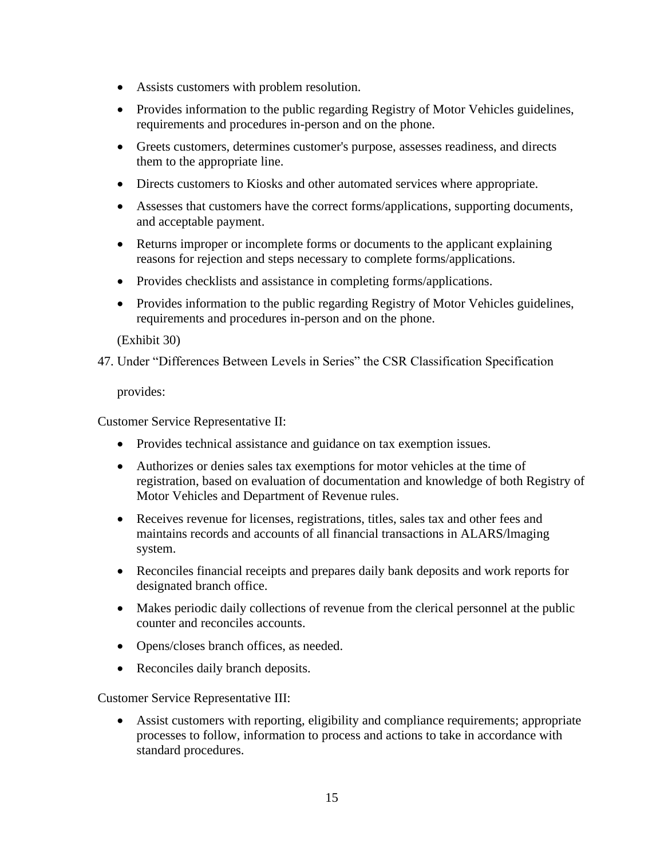- Assists customers with problem resolution.
- Provides information to the public regarding Registry of Motor Vehicles guidelines, requirements and procedures in-person and on the phone.
- Greets customers, determines customer's purpose, assesses readiness, and directs them to the appropriate line.
- Directs customers to Kiosks and other automated services where appropriate.
- Assesses that customers have the correct forms/applications, supporting documents, and acceptable payment.
- Returns improper or incomplete forms or documents to the applicant explaining reasons for rejection and steps necessary to complete forms/applications.
- Provides checklists and assistance in completing forms/applications.
- Provides information to the public regarding Registry of Motor Vehicles guidelines, requirements and procedures in-person and on the phone.

(Exhibit 30)

47. Under "Differences Between Levels in Series" the CSR Classification Specification

provides:

Customer Service Representative II:

- Provides technical assistance and guidance on tax exemption issues.
- Authorizes or denies sales tax exemptions for motor vehicles at the time of registration, based on evaluation of documentation and knowledge of both Registry of Motor Vehicles and Department of Revenue rules.
- Receives revenue for licenses, registrations, titles, sales tax and other fees and maintains records and accounts of all financial transactions in ALARS/lmaging system.
- Reconciles financial receipts and prepares daily bank deposits and work reports for designated branch office.
- Makes periodic daily collections of revenue from the clerical personnel at the public counter and reconciles accounts.
- Opens/closes branch offices, as needed.
- Reconciles daily branch deposits.

Customer Service Representative III:

• Assist customers with reporting, eligibility and compliance requirements; appropriate processes to follow, information to process and actions to take in accordance with standard procedures.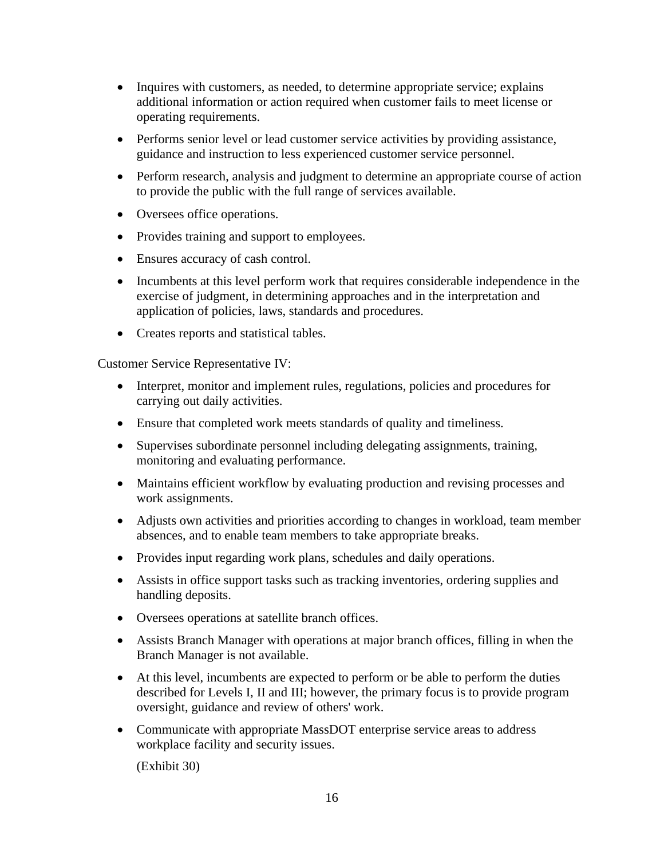- Inquires with customers, as needed, to determine appropriate service; explains additional information or action required when customer fails to meet license or operating requirements.
- Performs senior level or lead customer service activities by providing assistance, guidance and instruction to less experienced customer service personnel.
- Perform research, analysis and judgment to determine an appropriate course of action to provide the public with the full range of services available.
- Oversees office operations.
- Provides training and support to employees.
- Ensures accuracy of cash control.
- Incumbents at this level perform work that requires considerable independence in the exercise of judgment, in determining approaches and in the interpretation and application of policies, laws, standards and procedures.
- Creates reports and statistical tables.

Customer Service Representative IV:

- Interpret, monitor and implement rules, regulations, policies and procedures for carrying out daily activities.
- Ensure that completed work meets standards of quality and timeliness.
- Supervises subordinate personnel including delegating assignments, training, monitoring and evaluating performance.
- Maintains efficient workflow by evaluating production and revising processes and work assignments.
- Adjusts own activities and priorities according to changes in workload, team member absences, and to enable team members to take appropriate breaks.
- Provides input regarding work plans, schedules and daily operations.
- Assists in office support tasks such as tracking inventories, ordering supplies and handling deposits.
- Oversees operations at satellite branch offices.
- Assists Branch Manager with operations at major branch offices, filling in when the Branch Manager is not available.
- At this level, incumbents are expected to perform or be able to perform the duties described for Levels I, II and III; however, the primary focus is to provide program oversight, guidance and review of others' work.
- Communicate with appropriate MassDOT enterprise service areas to address workplace facility and security issues.

(Exhibit 30)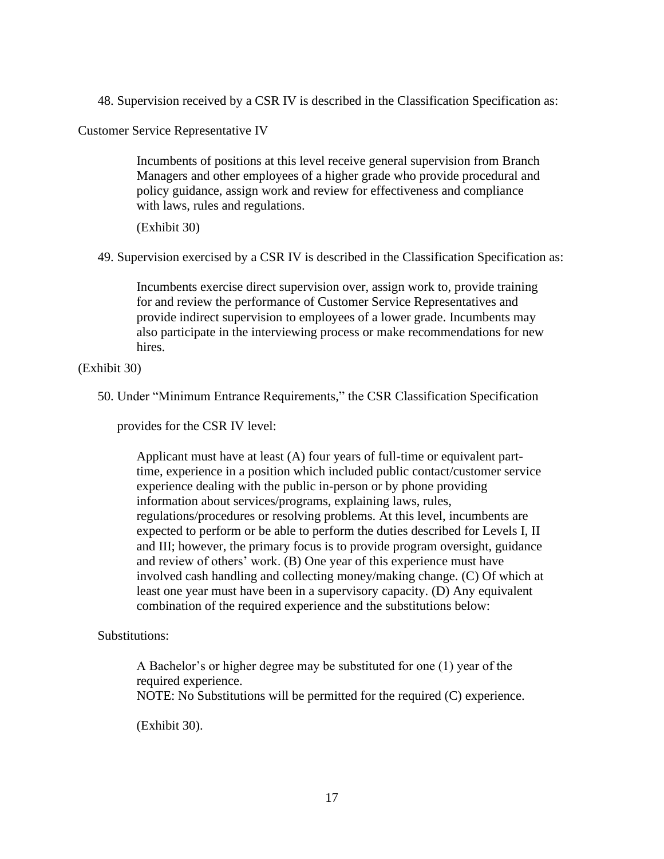48. Supervision received by a CSR IV is described in the Classification Specification as:

Customer Service Representative IV

Incumbents of positions at this level receive general supervision from Branch Managers and other employees of a higher grade who provide procedural and policy guidance, assign work and review for effectiveness and compliance with laws, rules and regulations.

(Exhibit 30)

49. Supervision exercised by a CSR IV is described in the Classification Specification as:

Incumbents exercise direct supervision over, assign work to, provide training for and review the performance of Customer Service Representatives and provide indirect supervision to employees of a lower grade. Incumbents may also participate in the interviewing process or make recommendations for new hires.

(Exhibit 30)

50. Under "Minimum Entrance Requirements," the CSR Classification Specification

provides for the CSR IV level:

Applicant must have at least (A) four years of full-time or equivalent parttime, experience in a position which included public contact/customer service experience dealing with the public in-person or by phone providing information about services/programs, explaining laws, rules, regulations/procedures or resolving problems. At this level, incumbents are expected to perform or be able to perform the duties described for Levels I, II and III; however, the primary focus is to provide program oversight, guidance and review of others' work. (B) One year of this experience must have involved cash handling and collecting money/making change. (C) Of which at least one year must have been in a supervisory capacity. (D) Any equivalent combination of the required experience and the substitutions below:

Substitutions:

A Bachelor's or higher degree may be substituted for one (1) year of the required experience.

NOTE: No Substitutions will be permitted for the required (C) experience.

(Exhibit 30).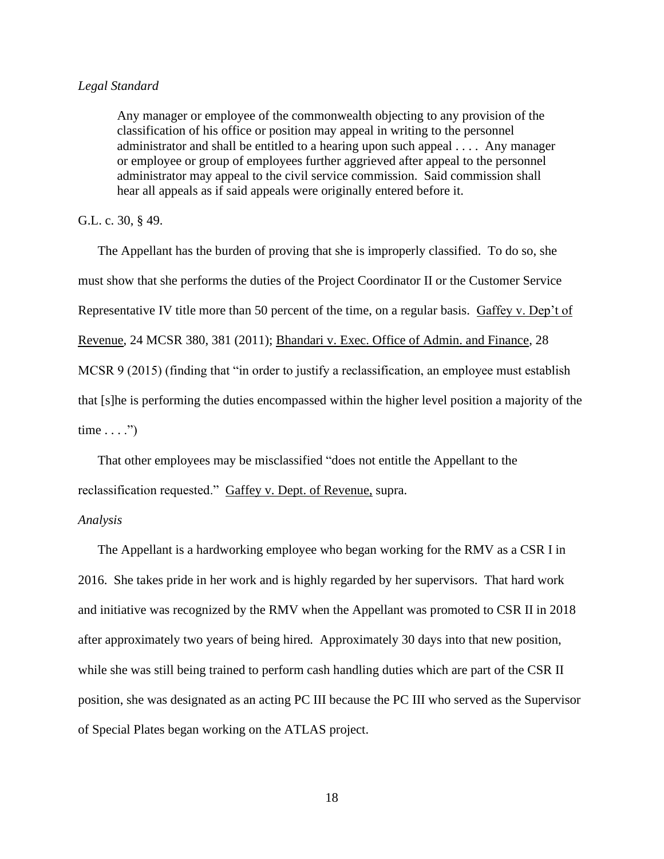#### *Legal Standard*

Any manager or employee of the commonwealth objecting to any provision of the classification of his office or position may appeal in writing to the personnel administrator and shall be entitled to a hearing upon such appeal . . . . Any manager or employee or group of employees further aggrieved after appeal to the personnel administrator may appeal to the civil service commission. Said commission shall hear all appeals as if said appeals were originally entered before it.

## G.L. c. 30, § 49.

The Appellant has the burden of proving that she is improperly classified. To do so, she must show that she performs the duties of the Project Coordinator II or the Customer Service Representative IV title more than 50 percent of the time, on a regular basis. Gaffey v. Dep't of Revenue, 24 MCSR 380, 381 (2011); Bhandari v. Exec. Office of Admin. and Finance, 28 MCSR 9 (2015) (finding that "in order to justify a reclassification, an employee must establish that [s]he is performing the duties encompassed within the higher level position a majority of the time  $\dots$ .")

That other employees may be misclassified "does not entitle the Appellant to the reclassification requested." Gaffey v. Dept. of Revenue, supra.

#### *Analysis*

The Appellant is a hardworking employee who began working for the RMV as a CSR I in 2016. She takes pride in her work and is highly regarded by her supervisors. That hard work and initiative was recognized by the RMV when the Appellant was promoted to CSR II in 2018 after approximately two years of being hired. Approximately 30 days into that new position, while she was still being trained to perform cash handling duties which are part of the CSR II position, she was designated as an acting PC III because the PC III who served as the Supervisor of Special Plates began working on the ATLAS project.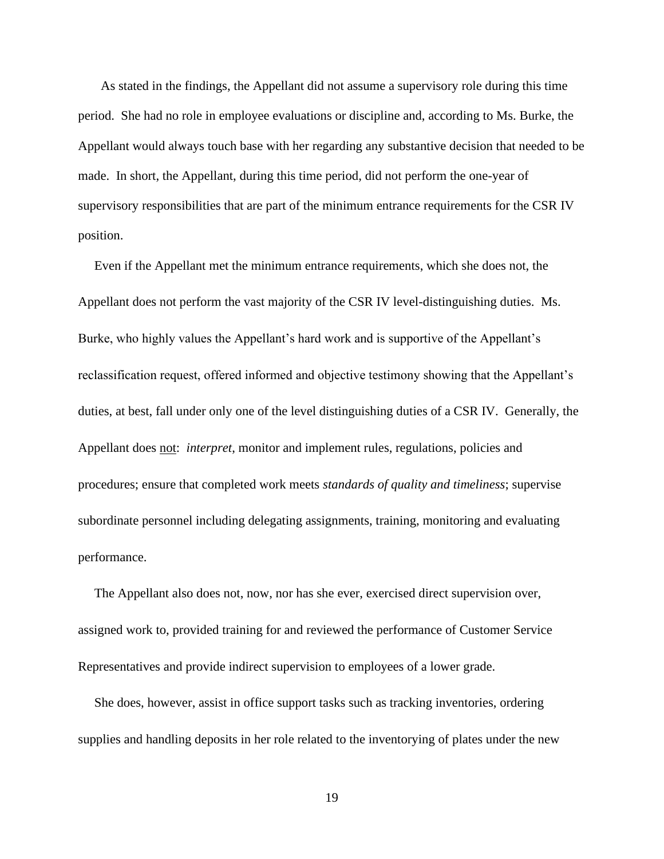As stated in the findings, the Appellant did not assume a supervisory role during this time period. She had no role in employee evaluations or discipline and, according to Ms. Burke, the Appellant would always touch base with her regarding any substantive decision that needed to be made. In short, the Appellant, during this time period, did not perform the one-year of supervisory responsibilities that are part of the minimum entrance requirements for the CSR IV position.

 Even if the Appellant met the minimum entrance requirements, which she does not, the Appellant does not perform the vast majority of the CSR IV level-distinguishing duties. Ms. Burke, who highly values the Appellant's hard work and is supportive of the Appellant's reclassification request, offered informed and objective testimony showing that the Appellant's duties, at best, fall under only one of the level distinguishing duties of a CSR IV. Generally, the Appellant does not: *interpret*, monitor and implement rules, regulations, policies and procedures; ensure that completed work meets *standards of quality and timeliness*; supervise subordinate personnel including delegating assignments, training, monitoring and evaluating performance.

 The Appellant also does not, now, nor has she ever, exercised direct supervision over, assigned work to, provided training for and reviewed the performance of Customer Service Representatives and provide indirect supervision to employees of a lower grade.

 She does, however, assist in office support tasks such as tracking inventories, ordering supplies and handling deposits in her role related to the inventorying of plates under the new